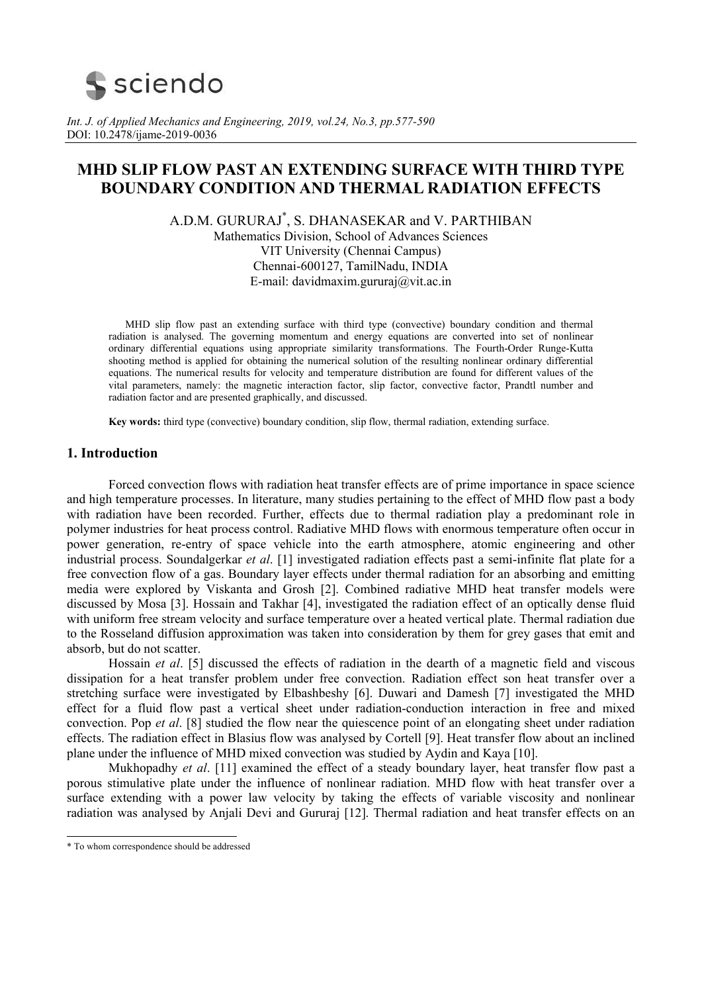

*Int. J. of Applied Mechanics and Engineering, 2019, vol.24, No.3, pp.577-590*  DOI: 10.2478/ijame-2019-0036

# **MHD SLIP FLOW PAST AN EXTENDING SURFACE WITH THIRD TYPE BOUNDARY CONDITION AND THERMAL RADIATION EFFECTS**

A.D.M. GURURAJ\* , S. DHANASEKAR and V. PARTHIBAN Mathematics Division, School of Advances Sciences VIT University (Chennai Campus) Chennai-600127, TamilNadu, INDIA E-mail: davidmaxim.gururaj@vit.ac.in

MHD slip flow past an extending surface with third type (convective) boundary condition and thermal radiation is analysed. The governing momentum and energy equations are converted into set of nonlinear ordinary differential equations using appropriate similarity transformations. The Fourth-Order Runge-Kutta shooting method is applied for obtaining the numerical solution of the resulting nonlinear ordinary differential equations. The numerical results for velocity and temperature distribution are found for different values of the vital parameters, namely: the magnetic interaction factor, slip factor, convective factor, Prandtl number and radiation factor and are presented graphically, and discussed.

**Key words:** third type (convective) boundary condition, slip flow, thermal radiation, extending surface.

## **1. Introduction**

 Forced convection flows with radiation heat transfer effects are of prime importance in space science and high temperature processes. In literature, many studies pertaining to the effect of MHD flow past a body with radiation have been recorded. Further, effects due to thermal radiation play a predominant role in polymer industries for heat process control. Radiative MHD flows with enormous temperature often occur in power generation, re-entry of space vehicle into the earth atmosphere, atomic engineering and other industrial process. Soundalgerkar *et al*. [1] investigated radiation effects past a semi-infinite flat plate for a free convection flow of a gas. Boundary layer effects under thermal radiation for an absorbing and emitting media were explored by Viskanta and Grosh [2]. Combined radiative MHD heat transfer models were discussed by Mosa [3]. Hossain and Takhar [4], investigated the radiation effect of an optically dense fluid with uniform free stream velocity and surface temperature over a heated vertical plate. Thermal radiation due to the Rosseland diffusion approximation was taken into consideration by them for grey gases that emit and absorb, but do not scatter.

 Hossain *et al*. [5] discussed the effects of radiation in the dearth of a magnetic field and viscous dissipation for a heat transfer problem under free convection. Radiation effect son heat transfer over a stretching surface were investigated by Elbashbeshy [6]. Duwari and Damesh [7] investigated the MHD effect for a fluid flow past a vertical sheet under radiation-conduction interaction in free and mixed convection. Pop *et al*. [8] studied the flow near the quiescence point of an elongating sheet under radiation effects. The radiation effect in Blasius flow was analysed by Cortell [9]. Heat transfer flow about an inclined plane under the influence of MHD mixed convection was studied by Aydin and Kaya [10].

 Mukhopadhy *et al*. [11] examined the effect of a steady boundary layer, heat transfer flow past a porous stimulative plate under the influence of nonlinear radiation. MHD flow with heat transfer over a surface extending with a power law velocity by taking the effects of variable viscosity and nonlinear radiation was analysed by Anjali Devi and Gururaj [12]. Thermal radiation and heat transfer effects on an

 \* To whom correspondence should be addressed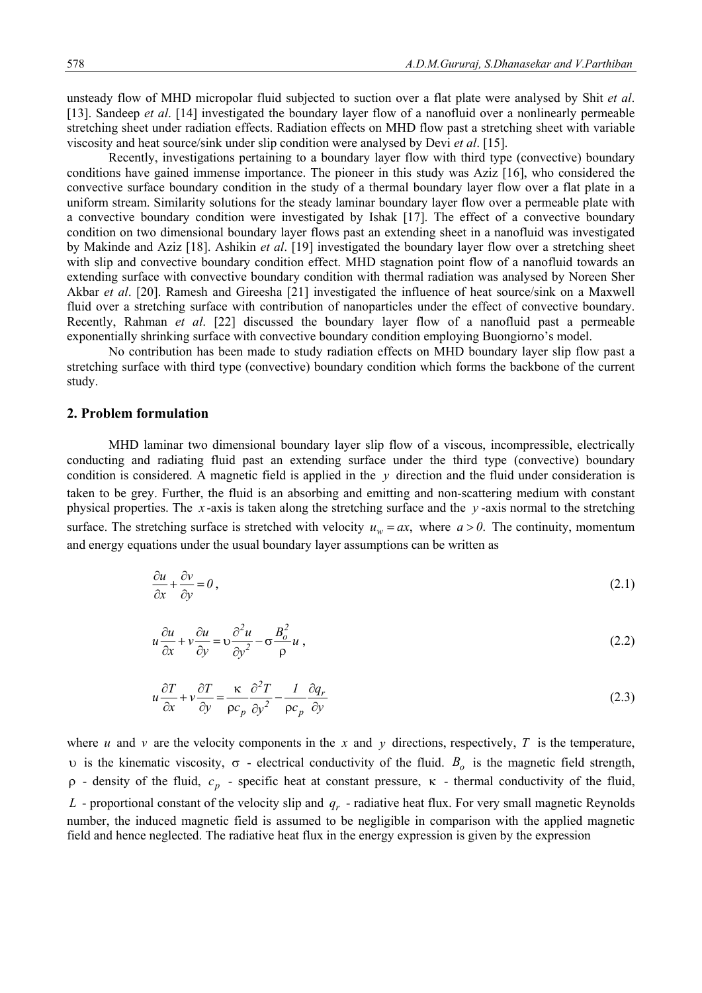unsteady flow of MHD micropolar fluid subjected to suction over a flat plate were analysed by Shit *et al*. [13]. Sandeep *et al*. [14] investigated the boundary layer flow of a nanofluid over a nonlinearly permeable stretching sheet under radiation effects. Radiation effects on MHD flow past a stretching sheet with variable viscosity and heat source/sink under slip condition were analysed by Devi *et al*. [15].

 Recently, investigations pertaining to a boundary layer flow with third type (convective) boundary conditions have gained immense importance. The pioneer in this study was Aziz [16], who considered the convective surface boundary condition in the study of a thermal boundary layer flow over a flat plate in a uniform stream. Similarity solutions for the steady laminar boundary layer flow over a permeable plate with a convective boundary condition were investigated by Ishak [17]. The effect of a convective boundary condition on two dimensional boundary layer flows past an extending sheet in a nanofluid was investigated by Makinde and Aziz [18]. Ashikin *et al*. [19] investigated the boundary layer flow over a stretching sheet with slip and convective boundary condition effect. MHD stagnation point flow of a nanofluid towards an extending surface with convective boundary condition with thermal radiation was analysed by Noreen Sher Akbar *et al*. [20]. Ramesh and Gireesha [21] investigated the influence of heat source/sink on a Maxwell fluid over a stretching surface with contribution of nanoparticles under the effect of convective boundary. Recently, Rahman *et al*. [22] discussed the boundary layer flow of a nanofluid past a permeable exponentially shrinking surface with convective boundary condition employing Buongiorno's model.

 No contribution has been made to study radiation effects on MHD boundary layer slip flow past a stretching surface with third type (convective) boundary condition which forms the backbone of the current study.

### **2. Problem formulation**

 MHD laminar two dimensional boundary layer slip flow of a viscous, incompressible, electrically conducting and radiating fluid past an extending surface under the third type (convective) boundary condition is considered. A magnetic field is applied in the *y* direction and the fluid under consideration is taken to be grey. Further, the fluid is an absorbing and emitting and non-scattering medium with constant physical properties. The *x* -axis is taken along the stretching surface and the *y* -axis normal to the stretching surface. The stretching surface is stretched with velocity  $u_w = ax$ , where  $a > 0$ . The continuity, momentum and energy equations under the usual boundary layer assumptions can be written as

$$
\frac{\partial u}{\partial x} + \frac{\partial v}{\partial y} = 0,
$$
\n(2.1)

$$
u\frac{\partial u}{\partial x} + v\frac{\partial u}{\partial y} = v\frac{\partial^2 u}{\partial y^2} - \sigma\frac{B_o^2}{\rho}u\,,\tag{2.2}
$$

$$
u\frac{\partial T}{\partial x} + v\frac{\partial T}{\partial y} = \frac{\kappa}{\rho c_p} \frac{\partial^2 T}{\partial y^2} - \frac{1}{\rho c_p} \frac{\partial q_r}{\partial y}
$$
(2.3)

where  $u$  and  $v$  are the velocity components in the  $x$  and  $y$  directions, respectively,  $T$  is the temperature, is the kinematic viscosity,  $\sigma$  - electrical conductivity of the fluid.  $B_o$  is the magnetic field strength,  $\rho$  - density of the fluid,  $c_p$  - specific heat at constant pressure,  $\kappa$  - thermal conductivity of the fluid,  $L$  - proportional constant of the velocity slip and  $q_r$  - radiative heat flux. For very small magnetic Reynolds number, the induced magnetic field is assumed to be negligible in comparison with the applied magnetic field and hence neglected. The radiative heat flux in the energy expression is given by the expression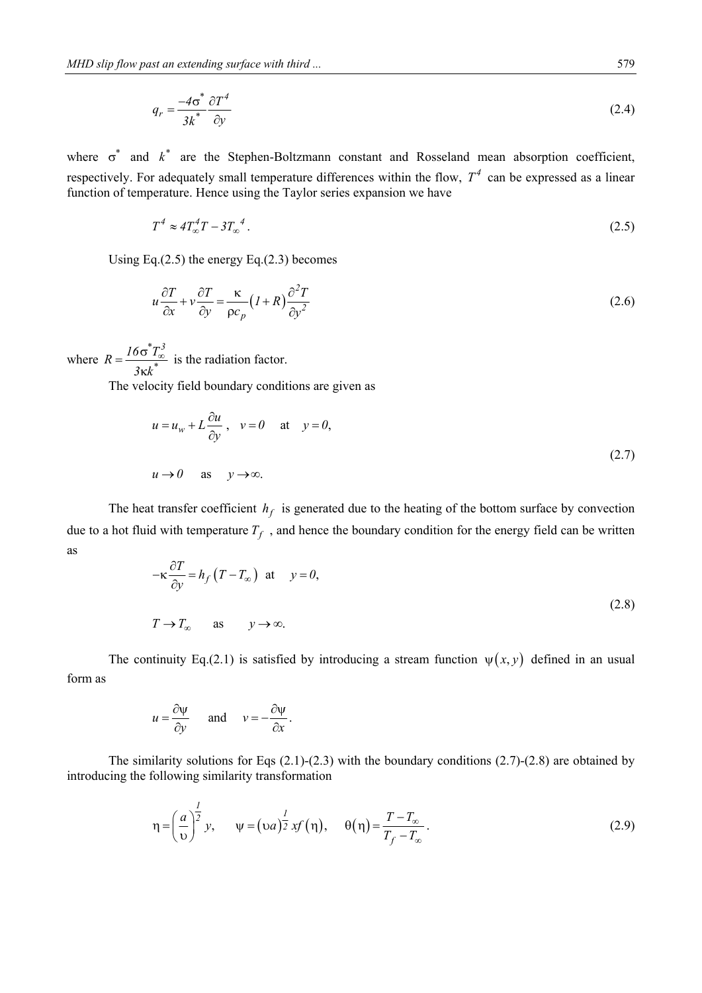$$
q_r = \frac{-4\sigma^*}{3k^*} \frac{\partial T^4}{\partial y} \tag{2.4}
$$

where  $\sigma^*$  and  $k^*$  are the Stephen-Boltzmann constant and Rosseland mean absorption coefficient, respectively. For adequately small temperature differences within the flow,  $T<sup>4</sup>$  can be expressed as a linear function of temperature. Hence using the Taylor series expansion we have

$$
T^4 \approx 4T_{\infty}^4 T - 3T_{\infty}^4 \tag{2.5}
$$

Using Eq. $(2.5)$  the energy Eq. $(2.3)$  becomes

$$
u\frac{\partial T}{\partial x} + v\frac{\partial T}{\partial y} = \frac{\kappa}{\rho c_p} \left( I + R \right) \frac{\partial^2 T}{\partial y^2}
$$
 (2.6)

where \* \*  $R = \frac{16\sigma^* T_{\infty}^3}{4}$ *3 k*  $=\frac{16\sigma^2 T_{\infty}^3}{\pi}$ ĸ is the radiation factor.

The velocity field boundary conditions are given as

$$
u = u_w + L \frac{\partial u}{\partial y}, \quad v = 0 \quad \text{at} \quad y = 0,
$$
  

$$
u \to 0 \quad \text{as} \quad y \to \infty.
$$
 (2.7)

The heat transfer coefficient  $h_f$  is generated due to the heating of the bottom surface by convection due to a hot fluid with temperature  $T_f$ , and hence the boundary condition for the energy field can be written as

$$
-\kappa \frac{\partial T}{\partial y} = h_f (T - T_{\infty}) \text{ at } y = 0,
$$
  
\n
$$
T \to T_{\infty} \text{ as } y \to \infty.
$$
 (2.8)

The continuity Eq.(2.1) is satisfied by introducing a stream function  $\psi(x, y)$  defined in an usual form as

$$
u = \frac{\partial \psi}{\partial y} \quad \text{and} \quad v = -\frac{\partial \psi}{\partial x}.
$$

The similarity solutions for Eqs  $(2.1)$ - $(2.3)$  with the boundary conditions  $(2.7)$ - $(2.8)$  are obtained by introducing the following similarity transformation

$$
\eta = \left(\frac{a}{v}\right)^{\frac{1}{2}} y, \qquad \psi = \left(va\right)^{\frac{1}{2}} xf(\eta), \qquad \theta(\eta) = \frac{T - T_{\infty}}{T_f - T_{\infty}}.
$$
\n(2.9)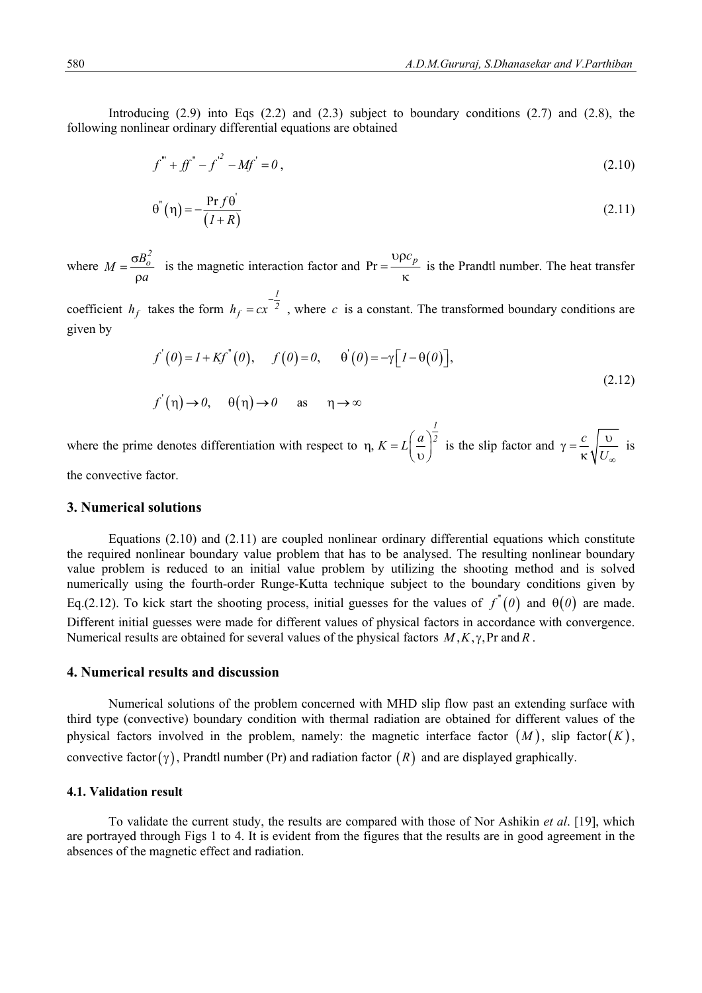Introducing  $(2.9)$  into Eqs  $(2.2)$  and  $(2.3)$  subject to boundary conditions  $(2.7)$  and  $(2.8)$ , the following nonlinear ordinary differential equations are obtained

$$
f''' + ff'' - f'^2 - Mf' = 0,
$$
\n(2.10)

$$
\theta''(\eta) = -\frac{\Pr f \theta'}{(1+R)}\tag{2.11}
$$

where *2*  $M = \frac{\sigma B_o^2}{2}$ *a*  $=\frac{\sigma}{\sigma}$  $\rho$ is the magnetic interaction factor and  $Pr = \frac{v\rho c_p}{r}$  $\frac{p}{k}$  is the Prandtl number. The heat transfer

coefficient  $h_f$  takes the form *1*  $h_f = cx^{-\frac{t}{2}}$ , where *c* is a constant. The transformed boundary conditions are given by

$$
f'(0) = I + Kf''(0), \quad f(0) = 0, \quad \theta'(0) = -\gamma [I - \theta(0)],
$$
  

$$
f'(\eta) \to 0, \quad \theta(\eta) \to 0 \quad \text{as} \quad \eta \to \infty
$$
 (2.12)

where the prime denotes differentiation with respect to  $\eta$ , *1*  $\eta$ ,  $K = L\left(\frac{a}{v}\right)^2$  is the slip factor and  $\gamma = \frac{c}{\kappa}$  $U_{\infty}$  $\gamma = \frac{c}{\sqrt{c}} \sqrt{\frac{v}{\sqrt{c}}}$  $\frac{\epsilon}{\kappa} \sqrt{\frac{6}{U_{\infty}}}$  is

the convective factor.

#### **3. Numerical solutions**

Equations  $(2.10)$  and  $(2.11)$  are coupled nonlinear ordinary differential equations which constitute the required nonlinear boundary value problem that has to be analysed. The resulting nonlinear boundary value problem is reduced to an initial value problem by utilizing the shooting method and is solved numerically using the fourth-order Runge-Kutta technique subject to the boundary conditions given by Eq.(2.12). To kick start the shooting process, initial guesses for the values of  $f''(0)$  and  $\theta(0)$  are made. Different initial guesses were made for different values of physical factors in accordance with convergence. Numerical results are obtained for several values of the physical factors  $M, K, \gamma$ , Pr and R.

### **4. Numerical results and discussion**

 Numerical solutions of the problem concerned with MHD slip flow past an extending surface with third type (convective) boundary condition with thermal radiation are obtained for different values of the physical factors involved in the problem, namely: the magnetic interface factor  $(M)$ , slip factor $(K)$ , convective factor  $(\gamma)$ , Prandtl number (Pr) and radiation factor  $(R)$  and are displayed graphically.

#### **4.1. Validation result**

 To validate the current study, the results are compared with those of Nor Ashikin *et al*. [19], which are portrayed through Figs 1 to 4. It is evident from the figures that the results are in good agreement in the absences of the magnetic effect and radiation.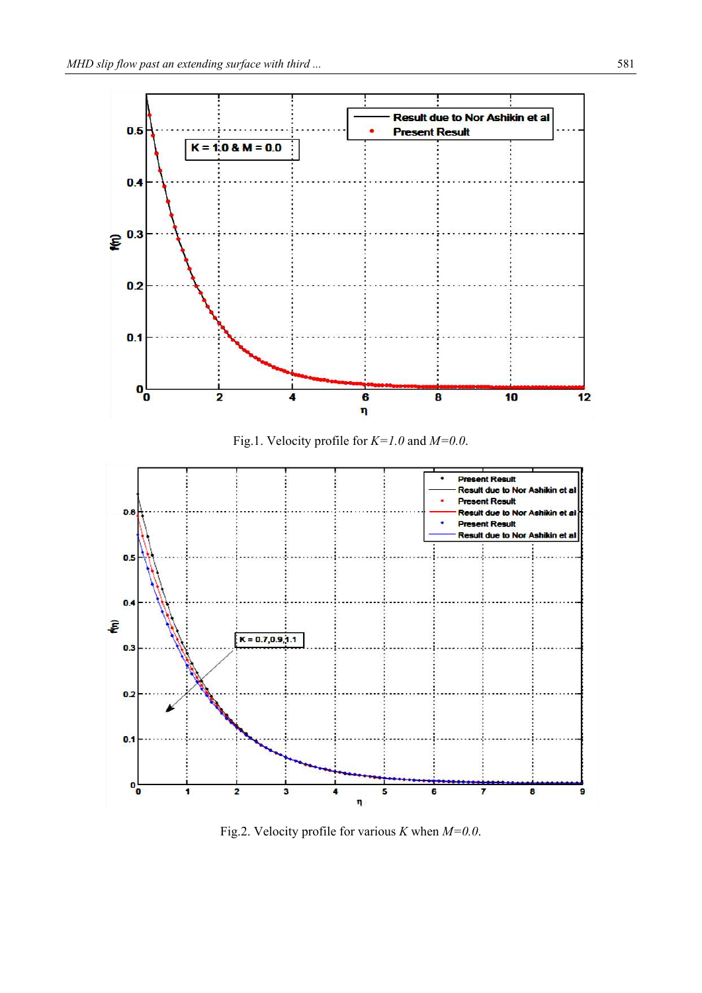

Fig.1. Velocity profile for *K=1.0* and *M=0.0*.



Fig.2. Velocity profile for various *K* when *M=0.0*.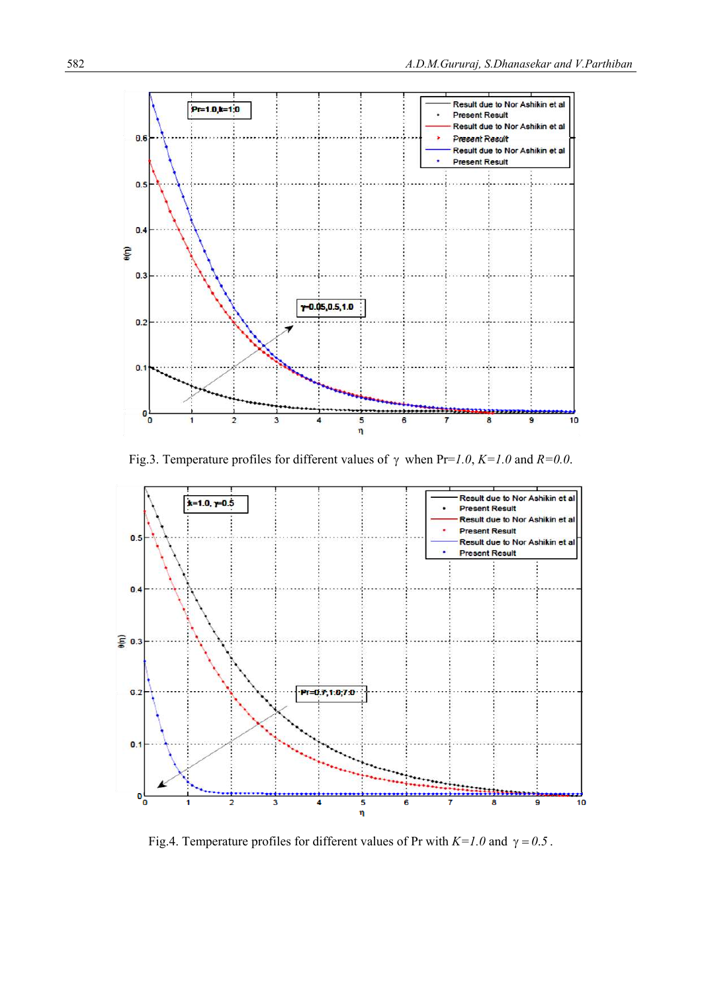

Fig.3. Temperature profiles for different values of  $\gamma$  when Pr=1.0, K=1.0 and R=0.0.



Fig.4. Temperature profiles for different values of Pr with  $K=1.0$  and  $\gamma=0.5$ .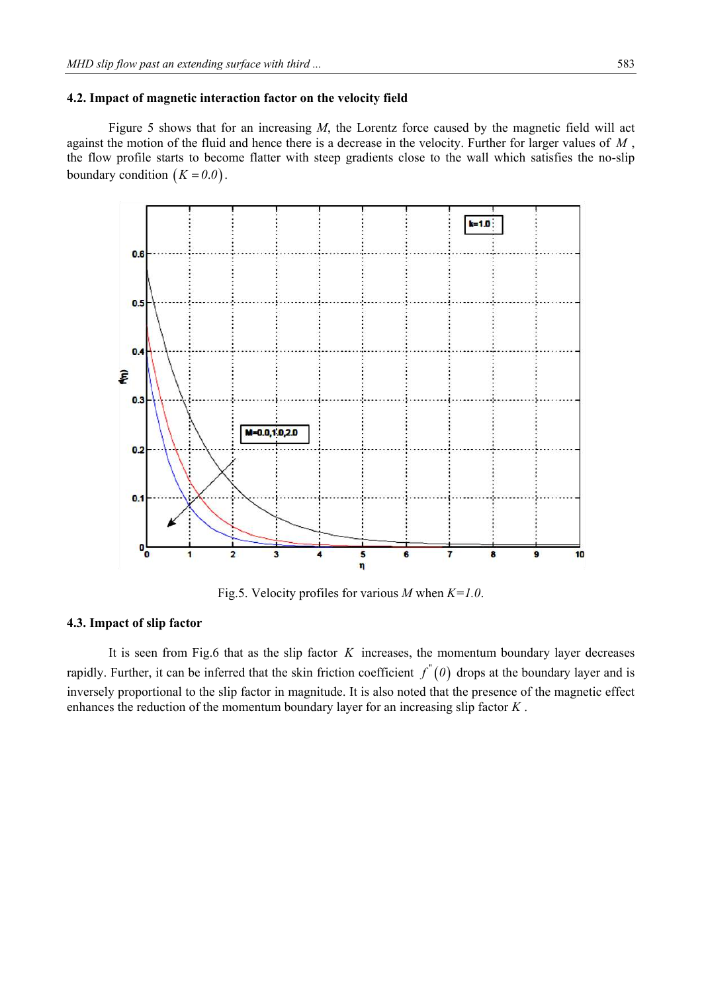### **4.2. Impact of magnetic interaction factor on the velocity field**

 Figure 5 shows that for an increasing *M*, the Lorentz force caused by the magnetic field will act against the motion of the fluid and hence there is a decrease in the velocity. Further for larger values of *M* , the flow profile starts to become flatter with steep gradients close to the wall which satisfies the no-slip boundary condition  $(K = 0.0)$ .



Fig.5. Velocity profiles for various *M* when *K=1.0*.

### **4.3. Impact of slip factor**

 It is seen from Fig.6 that as the slip factor *K* increases, the momentum boundary layer decreases rapidly. Further, it can be inferred that the skin friction coefficient  $f''(0)$  drops at the boundary layer and is inversely proportional to the slip factor in magnitude. It is also noted that the presence of the magnetic effect enhances the reduction of the momentum boundary layer for an increasing slip factor *K* .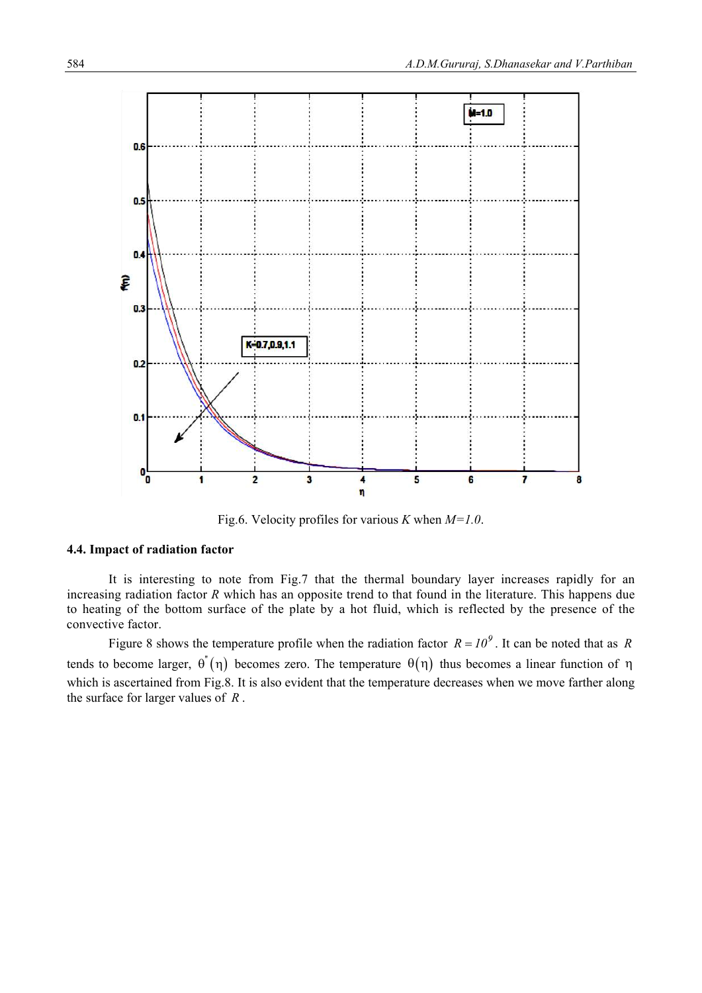

Fig.6. Velocity profiles for various *K* when *M=1.0*.

### **4.4. Impact of radiation factor**

 It is interesting to note from Fig.7 that the thermal boundary layer increases rapidly for an increasing radiation factor *R* which has an opposite trend to that found in the literature. This happens due to heating of the bottom surface of the plate by a hot fluid, which is reflected by the presence of the convective factor.

Figure 8 shows the temperature profile when the radiation factor  $R = 10^9$ . It can be noted that as *R* tends to become larger,  $\theta(\eta)$  becomes zero. The temperature  $\theta(\eta)$  thus becomes a linear function of  $\eta$ which is ascertained from Fig.8. It is also evident that the temperature decreases when we move farther along the surface for larger values of *R* .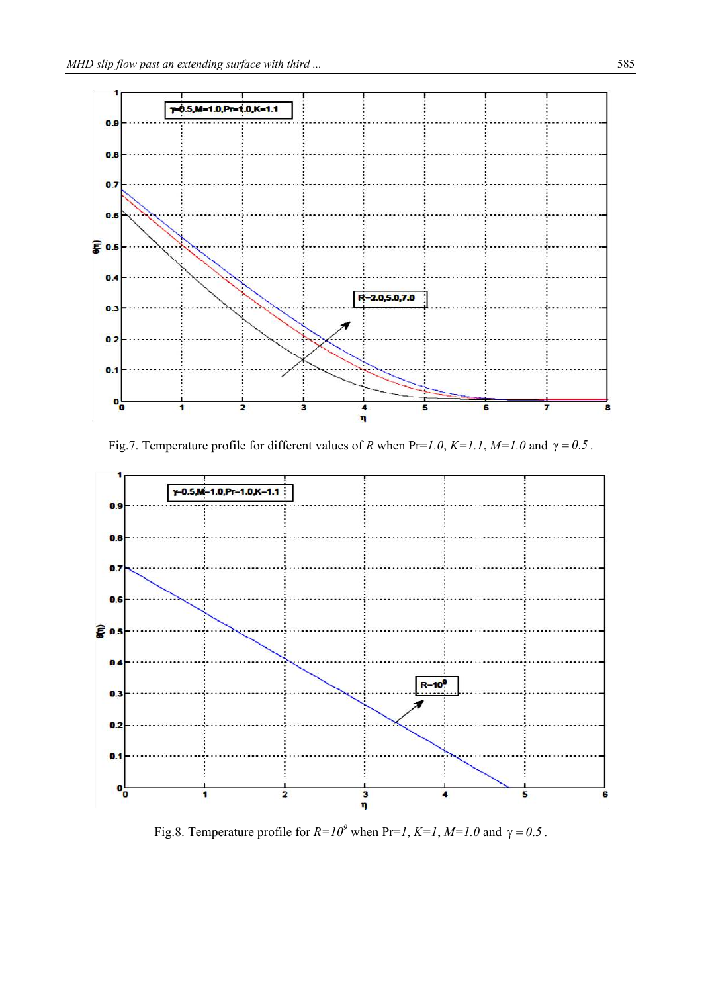

Fig.7. Temperature profile for different values of *R* when Pr= $1.0$ ,  $K=1.1$ ,  $M=1.0$  and  $\gamma = 0.5$ .



Fig.8. Temperature profile for  $R = I0^9$  when Pr=1,  $K = I$ ,  $M = I.0$  and  $\gamma = 0.5$ .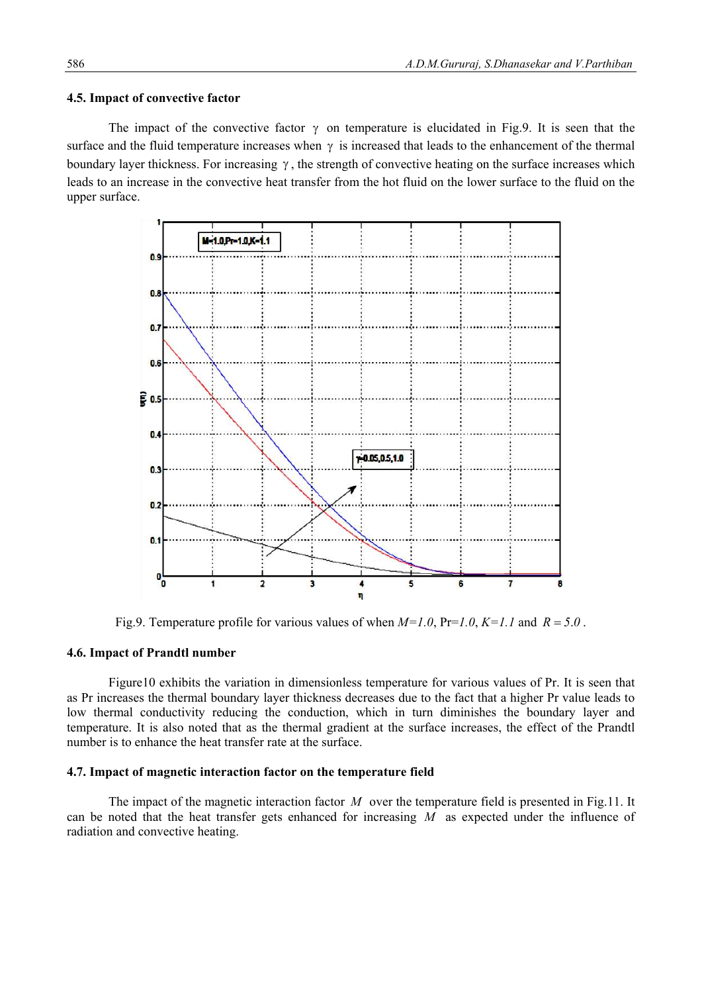#### **4.5. Impact of convective factor**

The impact of the convective factor  $\gamma$  on temperature is elucidated in Fig.9. It is seen that the surface and the fluid temperature increases when  $\gamma$  is increased that leads to the enhancement of the thermal boundary layer thickness. For increasing  $\gamma$ , the strength of convective heating on the surface increases which leads to an increase in the convective heat transfer from the hot fluid on the lower surface to the fluid on the upper surface.



Fig.9. Temperature profile for various values of when  $M=1.0$ ,  $Pr=1.0$ ,  $K=1.1$  and  $R=5.0$ .

#### **4.6. Impact of Prandtl number**

 Figure10 exhibits the variation in dimensionless temperature for various values of Pr. It is seen that as Pr increases the thermal boundary layer thickness decreases due to the fact that a higher Pr value leads to low thermal conductivity reducing the conduction, which in turn diminishes the boundary layer and temperature. It is also noted that as the thermal gradient at the surface increases, the effect of the Prandtl number is to enhance the heat transfer rate at the surface.

## **4.7. Impact of magnetic interaction factor on the temperature field**

 The impact of the magnetic interaction factor *M* over the temperature field is presented in Fig.11. It can be noted that the heat transfer gets enhanced for increasing *M* as expected under the influence of radiation and convective heating.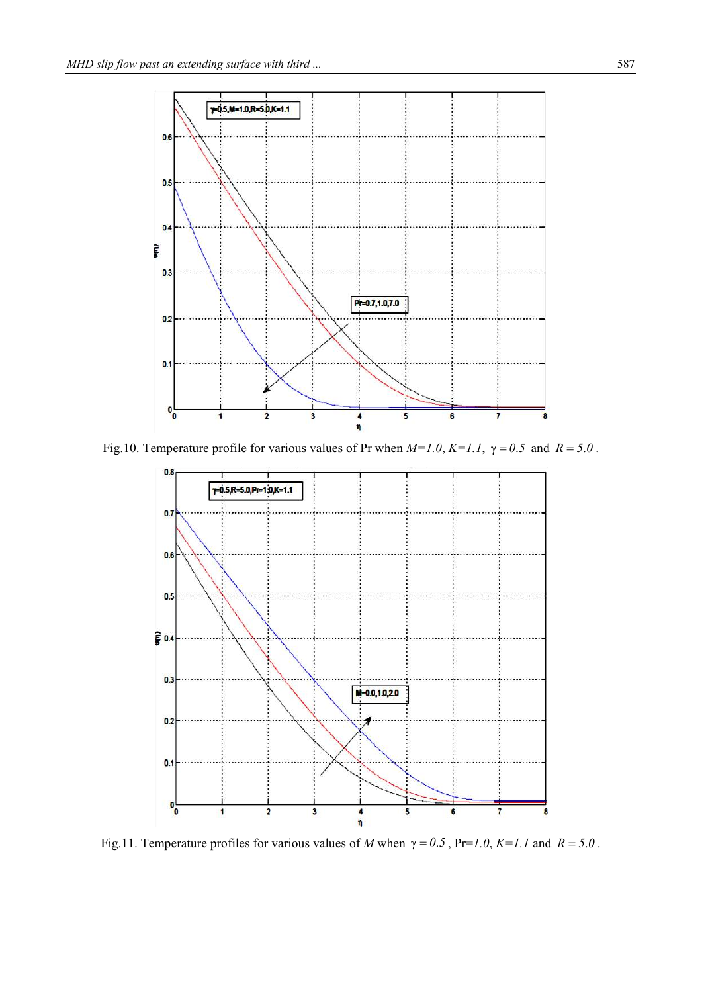

Fig.10. Temperature profile for various values of Pr when  $M=1.0$ ,  $K=1.1$ ,  $\gamma=0.5$  and  $R=5.0$ .



Fig.11. Temperature profiles for various values of *M* when  $\gamma = 0.5$ , Pr=*1.0*, *K*=*1.1* and *R* = 5.0.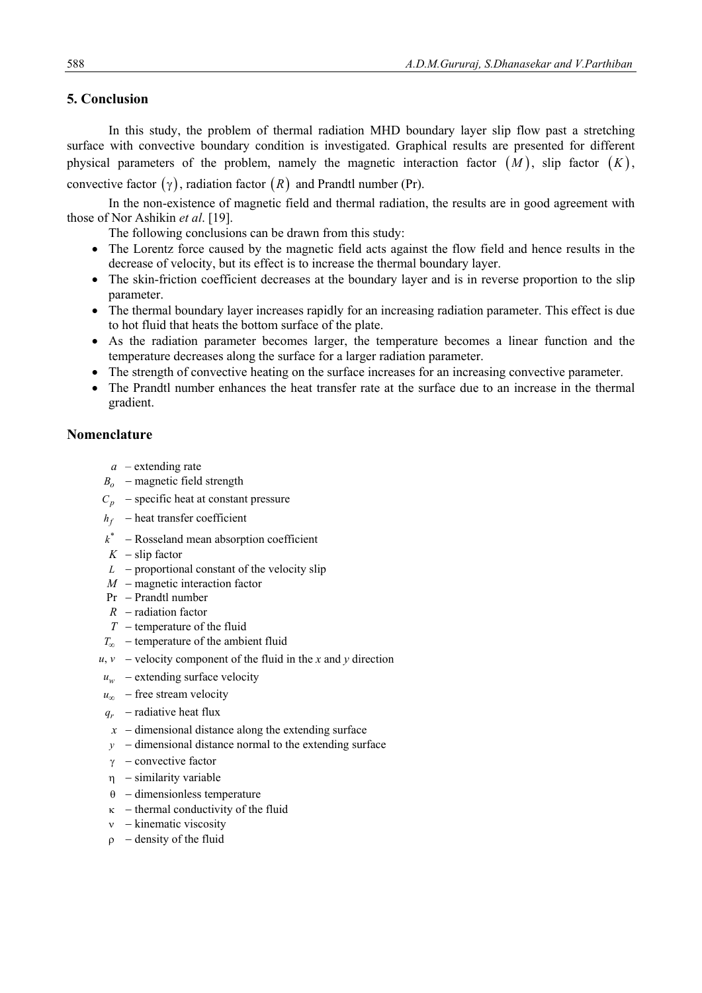## **5. Conclusion**

 In this study, the problem of thermal radiation MHD boundary layer slip flow past a stretching surface with convective boundary condition is investigated. Graphical results are presented for different physical parameters of the problem, namely the magnetic interaction factor  $(M)$ , slip factor  $(K)$ ,

convective factor  $(\gamma)$ , radiation factor  $(R)$  and Prandtl number (Pr).

 In the non-existence of magnetic field and thermal radiation, the results are in good agreement with those of Nor Ashikin *et al*. [19].

The following conclusions can be drawn from this study:

- The Lorentz force caused by the magnetic field acts against the flow field and hence results in the decrease of velocity, but its effect is to increase the thermal boundary layer.
- The skin-friction coefficient decreases at the boundary layer and is in reverse proportion to the slip parameter.
- The thermal boundary layer increases rapidly for an increasing radiation parameter. This effect is due to hot fluid that heats the bottom surface of the plate.
- As the radiation parameter becomes larger, the temperature becomes a linear function and the temperature decreases along the surface for a larger radiation parameter.
- The strength of convective heating on the surface increases for an increasing convective parameter.
- The Prandtl number enhances the heat transfer rate at the surface due to an increase in the thermal gradient.

## **Nomenclature**

- *a* extending rate
- $B$ <sup>o</sup> magnetic field strength
- $C_p$  specific heat at constant pressure
- $h_f$  heat transfer coefficient
- $k^*$  Rosseland mean absorption coefficient
- $K$  slip factor
- $L$  proportional constant of the velocity slip
- $M$  magnetic interaction factor
- Pr Prandtl number
- $R$  radiation factor
- $T$  temperature of the fluid
- $T_{\infty}$  temperature of the ambient fluid
- $u, v$  velocity component of the fluid in the *x* and *y* direction
- $u_w$  extending surface velocity
- $u_{\infty}$  free stream velocity
- $q_r$  radiative heat flux
- $x -$ dimensional distance along the extending surface
- $y -$ dimensional distance normal to the extending surface
- $\gamma$  convective factor
- $\eta$  similarity variable
- $\theta$  dimensionless temperature
- $\kappa$  thermal conductivity of the fluid
- $v -$ kinematic viscosity
- $\rho$  density of the fluid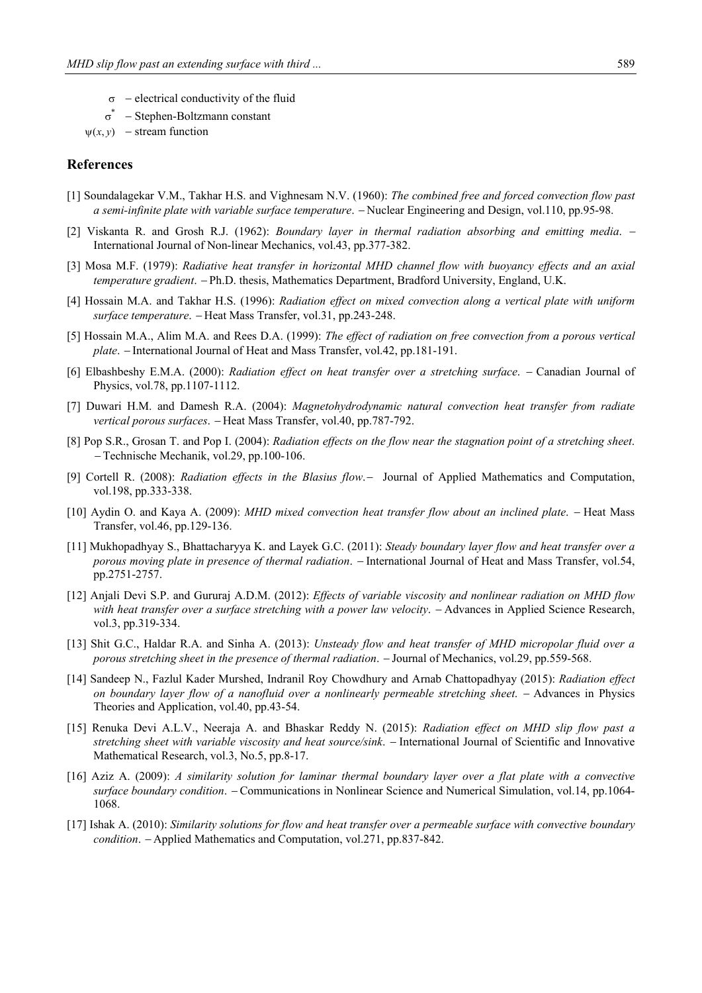- $\sigma$  electrical conductivity of the fluid
- $\sigma^*$  Stephen-Boltzmann constant
- $\psi(x, y)$  stream function

#### **References**

- [1] Soundalagekar V.M., Takhar H.S. and Vighnesam N.V. (1960): *The combined free and forced convection flow past a semi-infinite plate with variable surface temperature*. Nuclear Engineering and Design, vol.110, pp.95-98.
- [2] Viskanta R. and Grosh R.J. (1962): *Boundary layer in thermal radiation absorbing and emitting media*. International Journal of Non-linear Mechanics, vol.43, pp.377-382.
- [3] Mosa M.F. (1979): *Radiative heat transfer in horizontal MHD channel flow with buoyancy effects and an axial temperature gradient*. Ph.D. thesis, Mathematics Department, Bradford University, England, U.K.
- [4] Hossain M.A. and Takhar H.S. (1996): *Radiation effect on mixed convection along a vertical plate with uniform*  surface temperature. - Heat Mass Transfer, vol.31, pp.243-248.
- [5] Hossain M.A., Alim M.A. and Rees D.A. (1999): *The effect of radiation on free convection from a porous vertical plate*. International Journal of Heat and Mass Transfer, vol.42, pp.181-191.
- [6] Elbashbeshy E.M.A. (2000): *Radiation effect on heat transfer over a stretching surface*. Canadian Journal of Physics, vol.78, pp.1107-1112.
- [7] Duwari H.M. and Damesh R.A. (2004): *Magnetohydrodynamic natural convection heat transfer from radiate vertical porous surfaces.*  $-$  Heat Mass Transfer, vol.40, pp.787-792.
- [8] Pop S.R., Grosan T. and Pop I. (2004): *Radiation effects on the flow near the stagnation point of a stretching sheet*. Technische Mechanik, vol.29, pp.100-106.
- [9] Cortell R. (2008): *Radiation effects in the Blasius flow.* Journal of Applied Mathematics and Computation, vol.198, pp.333-338.
- [10] Aydin O. and Kaya A. (2009): *MHD mixed convection heat transfer flow about an inclined plate*. Heat Mass Transfer, vol.46, pp.129-136.
- [11] Mukhopadhyay S., Bhattacharyya K. and Layek G.C. (2011): *Steady boundary layer flow and heat transfer over a porous moving plate in presence of thermal radiation.* – International Journal of Heat and Mass Transfer, vol.54, pp.2751-2757.
- [12] Anjali Devi S.P. and Gururaj A.D.M. (2012): *Effects of variable viscosity and nonlinear radiation on MHD flow with heat transfer over a surface stretching with a power law velocity.* - Advances in Applied Science Research, vol.3, pp.319-334.
- [13] Shit G.C., Haldar R.A. and Sinha A. (2013): *Unsteady flow and heat transfer of MHD micropolar fluid over a porous stretching sheet in the presence of thermal radiation*. Journal of Mechanics, vol.29, pp.559-568.
- [14] Sandeep N., Fazlul Kader Murshed, Indranil Roy Chowdhury and Arnab Chattopadhyay (2015): *Radiation effect on boundary layer flow of a nanofluid over a nonlinearly permeable stretching sheet*. Advances in Physics Theories and Application, vol.40, pp.43-54.
- [15] Renuka Devi A.L.V., Neeraja A. and Bhaskar Reddy N. (2015): *Radiation effect on MHD slip flow past a stretching sheet with variable viscosity and heat source/sink*. International Journal of Scientific and Innovative Mathematical Research, vol.3, No.5, pp.8-17.
- [16] Aziz A. (2009): *A similarity solution for laminar thermal boundary layer over a flat plate with a convective surface boundary condition*. Communications in Nonlinear Science and Numerical Simulation, vol.14, pp.1064- 1068.
- [17] Ishak A. (2010): *Similarity solutions for flow and heat transfer over a permeable surface with convective boundary condition*. Applied Mathematics and Computation, vol.271, pp.837-842.